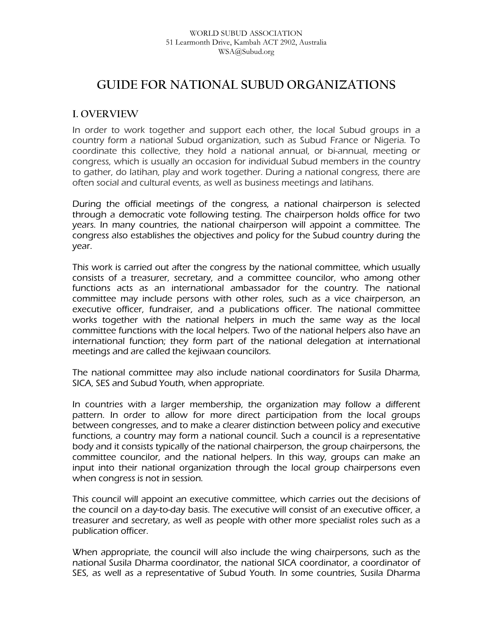# **GUIDE FOR NATIONAL SUBUD ORGANIZATIONS**

### **I. OVERVIEW**

In order to work together and support each other, the local Subud groups in a country form a national Subud organization, such as Subud France or Nigeria. To coordinate this collective, they hold a national annual, or bi-annual, meeting or congress, which is usually an occasion for individual Subud members in the country to gather, do latihan, play and work together. During a national congress, there are often social and cultural events, as well as business meetings and latihans.

During the official meetings of the congress, a national chairperson is selected through a democratic vote following testing. The chairperson holds office for two years. In many countries, the national chairperson will appoint a committee. The congress also establishes the objectives and policy for the Subud country during the year.

This work is carried out after the congress by the national committee, which usually consists of a treasurer, secretary, and a committee councilor, who among other functions acts as an international ambassador for the country. The national committee may include persons with other roles, such as a vice chairperson, an executive officer, fundraiser, and a publications officer. The national committee works together with the national helpers in much the same way as the local committee functions with the local helpers. Two of the national helpers also have an international function; they form part of the national delegation at international meetings and are called the kejiwaan councilors.

The national committee may also include national coordinators for Susila Dharma, SICA, SES and Subud Youth, when appropriate.

In countries with a larger membership, the organization may follow a different pattern. In order to allow for more direct participation from the local groups between congresses, and to make a clearer distinction between policy and executive functions, a country may form a national council. Such a council is a representative body and it consists typically of the national chairperson, the group chairpersons, the committee councilor, and the national helpers. In this way, groups can make an input into their national organization through the local group chairpersons even when congress is not in session.

This council will appoint an executive committee, which carries out the decisions of the council on a day-to-day basis. The executive will consist of an executive officer, a treasurer and secretary, as well as people with other more specialist roles such as a publication officer.

When appropriate, the council will also include the wing chairpersons, such as the national Susila Dharma coordinator, the national SICA coordinator, a coordinator of SES, as well as a representative of Subud Youth. In some countries, Susila Dharma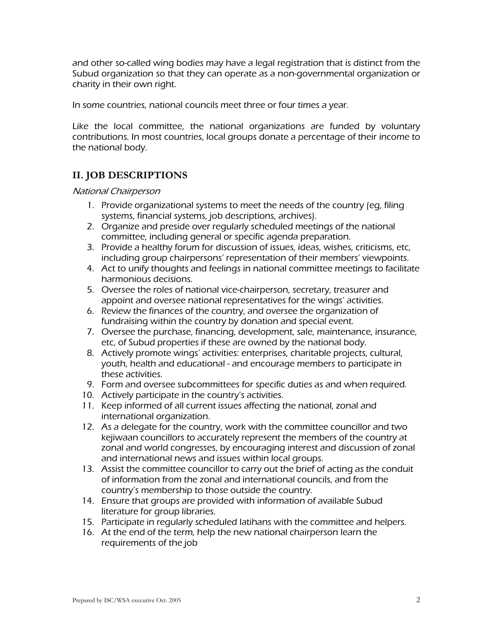and other so-called wing bodies may have a legal registration that is distinct from the Subud organization so that they can operate as a non-governmental organization or charity in their own right.

In some countries, national councils meet three or four times a year.

Like the local committee, the national organizations are funded by voluntary contributions. In most countries, local groups donate a percentage of their income to the national body.

## **II. JOB DESCRIPTIONS**

National Chairperson

- 1. Provide organizational systems to meet the needs of the country (eg, filing systems, financial systems, job descriptions, archives).
- 2. Organize and preside over regularly scheduled meetings of the national committee, including general or specific agenda preparation.
- 3. Provide a healthy forum for discussion of issues, ideas, wishes, criticisms, etc, including group chairpersons' representation of their members' viewpoints.
- 4. Act to unify thoughts and feelings in national committee meetings to facilitate harmonious decisions.
- 5. Oversee the roles of national vice-chairperson, secretary, treasurer and appoint and oversee national representatives for the wings' activities.
- 6. Review the finances of the country, and oversee the organization of fundraising within the country by donation and special event.
- 7. Oversee the purchase, financing, development, sale, maintenance, insurance, etc, of Subud properties if these are owned by the national body.
- 8. Actively promote wings' activities: enterprises, charitable projects, cultural, youth, health and educational - and encourage members to participate in these activities.
- 9. Form and oversee subcommittees for specific duties as and when required.
- 10. Actively participate in the country's activities.
- 11. Keep informed of all current issues affecting the national, zonal and international organization.
- 12. As a delegate for the country, work with the committee councillor and two kejiwaan councillors to accurately represent the members of the country at zonal and world congresses, by encouraging interest and discussion of zonal and international news and issues within local groups.
- 13. Assist the committee councillor to carry out the brief of acting as the conduit of information from the zonal and international councils, and from the country's membership to those outside the country.
- 14. Ensure that groups are provided with information of available Subud literature for group libraries.
- 15. Participate in regularly scheduled latihans with the committee and helpers.
- 16. At the end of the term, help the new national chairperson learn the requirements of the job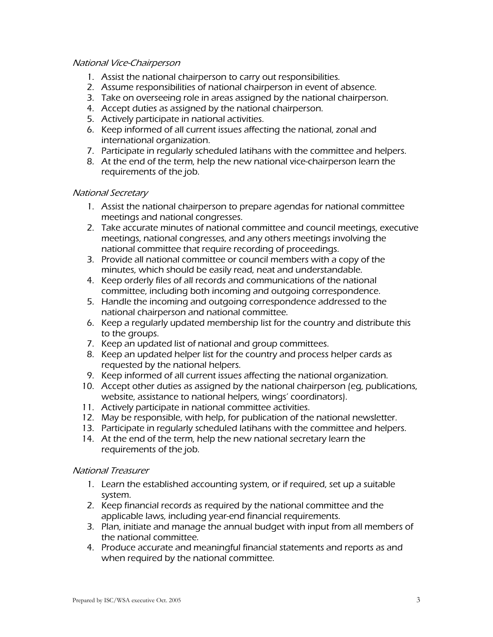#### National Vice-Chairperson

- 1. Assist the national chairperson to carry out responsibilities.
- 2. Assume responsibilities of national chairperson in event of absence.
- 3. Take on overseeing role in areas assigned by the national chairperson.
- 4. Accept duties as assigned by the national chairperson.
- 5. Actively participate in national activities.
- 6. Keep informed of all current issues affecting the national, zonal and international organization.
- 7. Participate in regularly scheduled latihans with the committee and helpers.
- 8. At the end of the term, help the new national vice-chairperson learn the requirements of the job.

#### National Secretary

- 1. Assist the national chairperson to prepare agendas for national committee meetings and national congresses.
- 2. Take accurate minutes of national committee and council meetings, executive meetings, national congresses, and any others meetings involving the national committee that require recording of proceedings.
- 3. Provide all national committee or council members with a copy of the minutes, which should be easily read, neat and understandable.
- 4. Keep orderly files of all records and communications of the national committee, including both incoming and outgoing correspondence.
- 5. Handle the incoming and outgoing correspondence addressed to the national chairperson and national committee.
- 6. Keep a regularly updated membership list for the country and distribute this to the groups.
- 7. Keep an updated list of national and group committees.
- 8. Keep an updated helper list for the country and process helper cards as requested by the national helpers.
- 9. Keep informed of all current issues affecting the national organization.
- 10. Accept other duties as assigned by the national chairperson (eg, publications, website, assistance to national helpers, wings' coordinators).
- 11. Actively participate in national committee activities.
- 12. May be responsible, with help, for publication of the national newsletter.
- 13. Participate in regularly scheduled latihans with the committee and helpers.
- 14. At the end of the term, help the new national secretary learn the requirements of the job.

#### National Treasurer

- 1. Learn the established accounting system, or if required, set up a suitable system.
- 2. Keep financial records as required by the national committee and the applicable laws, including year-end financial requirements.
- 3. Plan, initiate and manage the annual budget with input from all members of the national committee.
- 4. Produce accurate and meaningful financial statements and reports as and when required by the national committee.